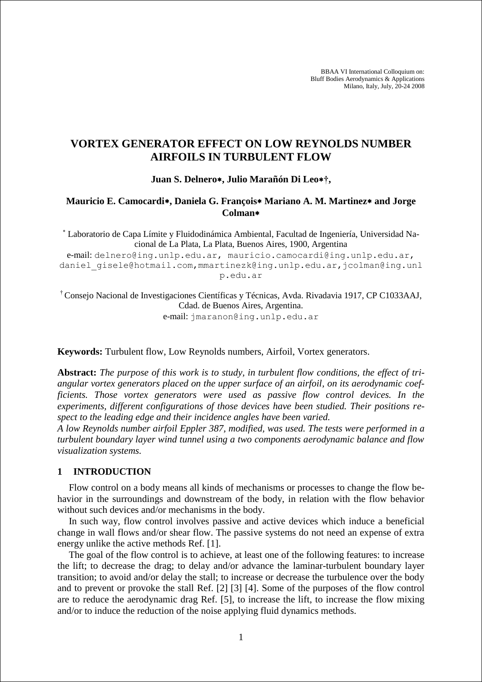BBAA VI International Colloquium on: Bluff Bodies Aerodynamics & Applications Milano, Italy, July, 20-24 2008

# **VORTEX GENERATOR EFFECT ON LOW REYNOLDS NUMBER AIRFOILS IN TURBULENT FLOW**

### **Juan S. Delnero, Julio Marañón Di Leo†,**

## **Mauricio E. Camocardi, Daniela G. François Mariano A. M. Martinez and Jorge Colman**

 Laboratorio de Capa Límite y Fluidodinámica Ambiental, Facultad de Ingeniería, Universidad Nacional de La Plata, La Plata, Buenos Aires, 1900, Argentina

e-mail: delnero@ing.unlp.edu.ar, mauricio.camocardi@ing.unlp.edu.ar, daniel gisele@hotmail.com,mmartinezk@ing.unlp.edu.ar,jcolman@ing.unl p.edu.ar

† Consejo Nacional de Investigaciones Científicas y Técnicas, Avda. Rivadavia 1917, CP C1033AAJ, Cdad. de Buenos Aires, Argentina. e-mail: jmaranon@ing.unlp.edu.ar

**Keywords:** Turbulent flow, Low Reynolds numbers, Airfoil, Vortex generators.

**Abstract:** *The purpose of this work is to study, in turbulent flow conditions, the effect of triangular vortex generators placed on the upper surface of an airfoil, on its aerodynamic coefficients. Those vortex generators were used as passive flow control devices. In the experiments, different configurations of those devices have been studied. Their positions respect to the leading edge and their incidence angles have been varied.*

*A low Reynolds number airfoil Eppler 387, modified, was used. The tests were performed in a turbulent boundary layer wind tunnel using a two components aerodynamic balance and flow visualization systems.*

### **1 INTRODUCTION**

Flow control on a body means all kinds of mechanisms or processes to change the flow behavior in the surroundings and downstream of the body, in relation with the flow behavior without such devices and/or mechanisms in the body.

In such way, flow control involves passive and active devices which induce a beneficial change in wall flows and/or shear flow. The passive systems do not need an expense of extra energy unlike the active methods Ref. [1].

The goal of the flow control is to achieve, at least one of the following features: to increase the lift; to decrease the drag; to delay and/or advance the laminar-turbulent boundary layer transition; to avoid and/or delay the stall; to increase or decrease the turbulence over the body and to prevent or provoke the stall Ref. [2] [3] [4]. Some of the purposes of the flow control are to reduce the aerodynamic drag Ref. [5], to increase the lift, to increase the flow mixing and/or to induce the reduction of the noise applying fluid dynamics methods.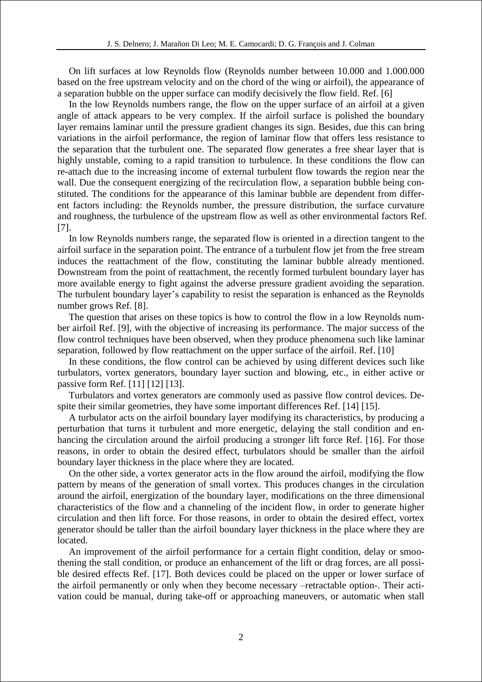On lift surfaces at low Reynolds flow (Reynolds number between 10.000 and 1.000.000 based on the free upstream velocity and on the chord of the wing or airfoil), the appearance of a separation bubble on the upper surface can modify decisively the flow field. Ref. [6]

In the low Reynolds numbers range, the flow on the upper surface of an airfoil at a given angle of attack appears to be very complex. If the airfoil surface is polished the boundary layer remains laminar until the pressure gradient changes its sign. Besides, due this can bring variations in the airfoil performance, the region of laminar flow that offers less resistance to the separation that the turbulent one. The separated flow generates a free shear layer that is highly unstable, coming to a rapid transition to turbulence. In these conditions the flow can re-attach due to the increasing income of external turbulent flow towards the region near the wall. Due the consequent energizing of the recirculation flow, a separation bubble being constituted. The conditions for the appearance of this laminar bubble are dependent from different factors including: the Reynolds number, the pressure distribution, the surface curvature and roughness, the turbulence of the upstream flow as well as other environmental factors Ref. [7].

In low Reynolds numbers range, the separated flow is oriented in a direction tangent to the airfoil surface in the separation point. The entrance of a turbulent flow jet from the free stream induces the reattachment of the flow, constituting the laminar bubble already mentioned. Downstream from the point of reattachment, the recently formed turbulent boundary layer has more available energy to fight against the adverse pressure gradient avoiding the separation. The turbulent boundary layer's capability to resist the separation is enhanced as the Reynolds number grows Ref. [8].

The question that arises on these topics is how to control the flow in a low Reynolds number airfoil Ref. [9], with the objective of increasing its performance. The major success of the flow control techniques have been observed, when they produce phenomena such like laminar separation, followed by flow reattachment on the upper surface of the airfoil. Ref. [10]

In these conditions, the flow control can be achieved by using different devices such like turbulators, vortex generators, boundary layer suction and blowing, etc., in either active or passive form Ref. [11] [12] [13].

Turbulators and vortex generators are commonly used as passive flow control devices. Despite their similar geometries, they have some important differences Ref. [14] [15].

A turbulator acts on the airfoil boundary layer modifying its characteristics, by producing a perturbation that turns it turbulent and more energetic, delaying the stall condition and enhancing the circulation around the airfoil producing a stronger lift force Ref. [16]. For those reasons, in order to obtain the desired effect, turbulators should be smaller than the airfoil boundary layer thickness in the place where they are located.

On the other side, a vortex generator acts in the flow around the airfoil, modifying the flow pattern by means of the generation of small vortex. This produces changes in the circulation around the airfoil, energization of the boundary layer, modifications on the three dimensional characteristics of the flow and a channeling of the incident flow, in order to generate higher circulation and then lift force. For those reasons, in order to obtain the desired effect, vortex generator should be taller than the airfoil boundary layer thickness in the place where they are located.

An improvement of the airfoil performance for a certain flight condition, delay or smoothening the stall condition, or produce an enhancement of the lift or drag forces, are all possible desired effects Ref. [17]. Both devices could be placed on the upper or lower surface of the airfoil permanently or only when they become necessary –retractable option-. Their activation could be manual, during take-off or approaching maneuvers, or automatic when stall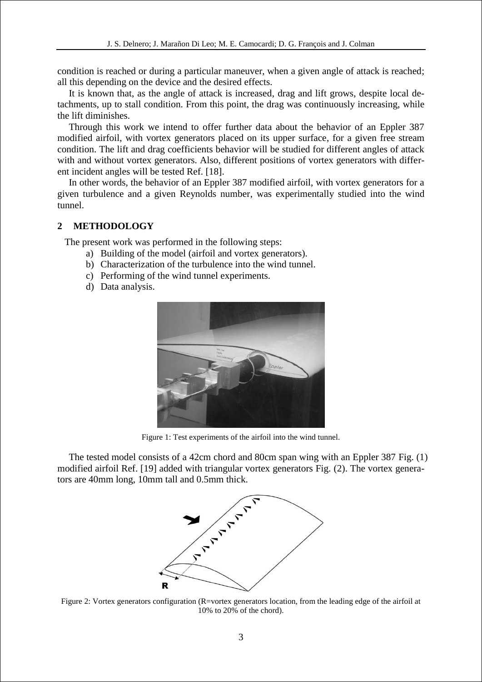condition is reached or during a particular maneuver, when a given angle of attack is reached; all this depending on the device and the desired effects.

It is known that, as the angle of attack is increased, drag and lift grows, despite local detachments, up to stall condition. From this point, the drag was continuously increasing, while the lift diminishes.

Through this work we intend to offer further data about the behavior of an Eppler 387 modified airfoil, with vortex generators placed on its upper surface, for a given free stream condition. The lift and drag coefficients behavior will be studied for different angles of attack with and without vortex generators. Also, different positions of vortex generators with different incident angles will be tested Ref. [18].

In other words, the behavior of an Eppler 387 modified airfoil, with vortex generators for a given turbulence and a given Reynolds number, was experimentally studied into the wind tunnel.

### **2 METHODOLOGY**

The present work was performed in the following steps:

- a) Building of the model (airfoil and vortex generators).
- b) Characterization of the turbulence into the wind tunnel.
- c) Performing of the wind tunnel experiments.
- d) Data analysis.



Figure 1: Test experiments of the airfoil into the wind tunnel.

The tested model consists of a 42cm chord and 80cm span wing with an Eppler 387 Fig. (1) modified airfoil Ref. [19] added with triangular vortex generators Fig. (2). The vortex generators are 40mm long, 10mm tall and 0.5mm thick.



Figure 2: Vortex generators configuration (R=vortex generators location, from the leading edge of the airfoil at 10% to 20% of the chord).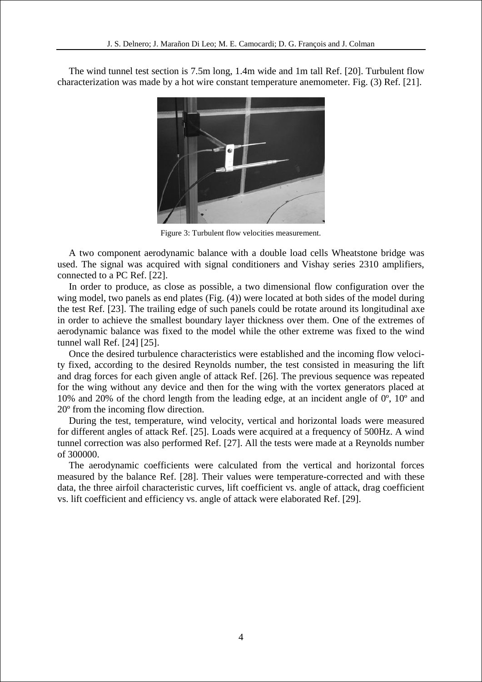The wind tunnel test section is 7.5m long, 1.4m wide and 1m tall Ref. [20]. Turbulent flow characterization was made by a hot wire constant temperature anemometer. Fig. (3) Ref. [21].



Figure 3: Turbulent flow velocities measurement.

A two component aerodynamic balance with a double load cells Wheatstone bridge was used. The signal was acquired with signal conditioners and Vishay series 2310 amplifiers, connected to a PC Ref. [22].

In order to produce, as close as possible, a two dimensional flow configuration over the wing model, two panels as end plates (Fig. (4)) were located at both sides of the model during the test Ref. [23]. The trailing edge of such panels could be rotate around its longitudinal axe in order to achieve the smallest boundary layer thickness over them. One of the extremes of aerodynamic balance was fixed to the model while the other extreme was fixed to the wind tunnel wall Ref. [24] [25].

Once the desired turbulence characteristics were established and the incoming flow velocity fixed, according to the desired Reynolds number, the test consisted in measuring the lift and drag forces for each given angle of attack Ref. [26]. The previous sequence was repeated for the wing without any device and then for the wing with the vortex generators placed at 10% and 20% of the chord length from the leading edge, at an incident angle of 0º, 10º and 20º from the incoming flow direction.

During the test, temperature, wind velocity, vertical and horizontal loads were measured for different angles of attack Ref. [25]. Loads were acquired at a frequency of 500Hz. A wind tunnel correction was also performed Ref. [27]. All the tests were made at a Reynolds number of 300000.

The aerodynamic coefficients were calculated from the vertical and horizontal forces measured by the balance Ref. [28]. Their values were temperature-corrected and with these data, the three airfoil characteristic curves, lift coefficient vs. angle of attack, drag coefficient vs. lift coefficient and efficiency vs. angle of attack were elaborated Ref. [29].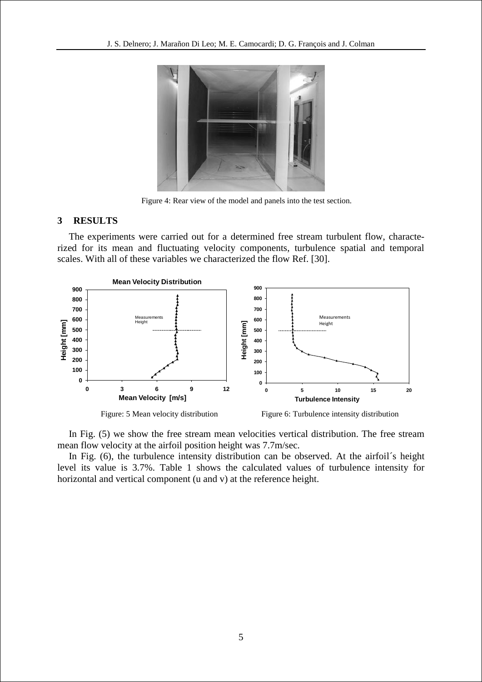

Figure 4: Rear view of the model and panels into the test section.

### **3 RESULTS**

The experiments were carried out for a determined free stream turbulent flow, characterized for its mean and fluctuating velocity components, turbulence spatial and temporal scales. With all of these variables we characterized the flow Ref. [30].



In Fig. (5) we show the free stream mean velocities vertical distribution. The free stream mean flow velocity at the airfoil position height was 7.7m/sec.

In Fig. (6), the turbulence intensity distribution can be observed. At the airfoil´s height level its value is 3.7%. Table 1 shows the calculated values of turbulence intensity for horizontal and vertical component (u and v) at the reference height.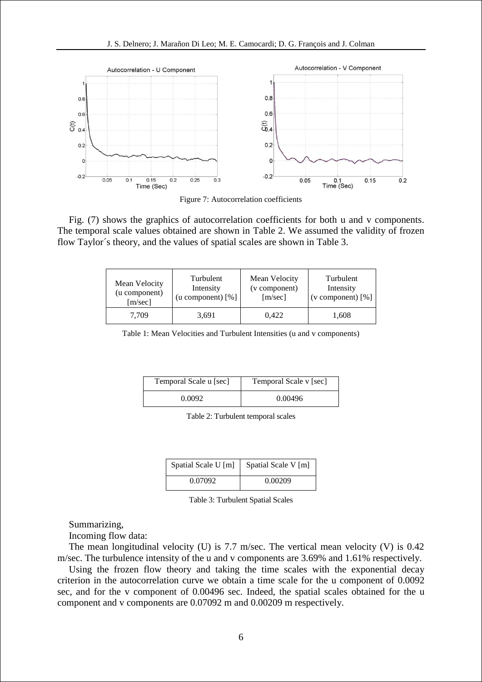

Figure 7: Autocorrelation coefficients

Fig. (7) shows the graphics of autocorrelation coefficients for both u and v components. The temporal scale values obtained are shown in Table 2. We assumed the validity of frozen flow Taylor´s theory, and the values of spatial scales are shown in Table 3.

| Mean Velocity | Turbulent                    | Mean Velocity | Turbulent           |
|---------------|------------------------------|---------------|---------------------|
| (u component) | Intensity                    | (v component) | Intensity           |
| [m/sec]       | $(u \text{ component}) [\%]$ | [m/sec]       | (v component) $[%]$ |
| 7.709         | 3,691                        | 0.422         | 1,608               |

Table 1: Mean Velocities and Turbulent Intensities (u and v components)

| Temporal Scale u [sec] | Temporal Scale v [sec] |  |
|------------------------|------------------------|--|
| 0.0092                 | 0.00496                |  |

Table 2: Turbulent temporal scales

| Spatial Scale U [m] | Spatial Scale V [m] |  |
|---------------------|---------------------|--|
| 0.07092             | 0.00209             |  |

Table 3: Turbulent Spatial Scales

Summarizing,

Incoming flow data:

The mean longitudinal velocity (U) is  $7.7$  m/sec. The vertical mean velocity (V) is  $0.42$ m/sec. The turbulence intensity of the u and v components are 3.69% and 1.61% respectively.

Using the frozen flow theory and taking the time scales with the exponential decay criterion in the autocorrelation curve we obtain a time scale for the u component of 0.0092 sec, and for the v component of 0.00496 sec. Indeed, the spatial scales obtained for the u component and v components are 0.07092 m and 0.00209 m respectively.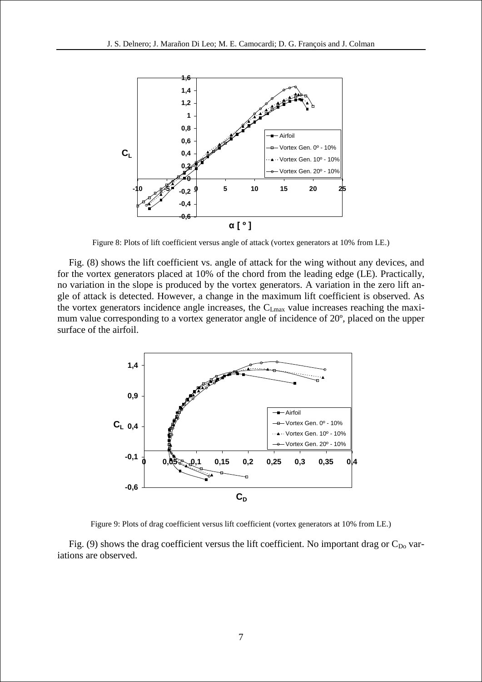

Figure 8: Plots of lift coefficient versus angle of attack (vortex generators at 10% from LE.)

Fig. (8) shows the lift coefficient vs. angle of attack for the wing without any devices, and for the vortex generators placed at 10% of the chord from the leading edge (LE). Practically, no variation in the slope is produced by the vortex generators. A variation in the zero lift angle of attack is detected. However, a change in the maximum lift coefficient is observed. As the vortex generators incidence angle increases, the CLmax value increases reaching the maximum value corresponding to a vortex generator angle of incidence of 20º, placed on the upper surface of the airfoil.



Figure 9: Plots of drag coefficient versus lift coefficient (vortex generators at 10% from LE.)

Fig. (9) shows the drag coefficient versus the lift coefficient. No important drag or  $C_{Do}$  variations are observed.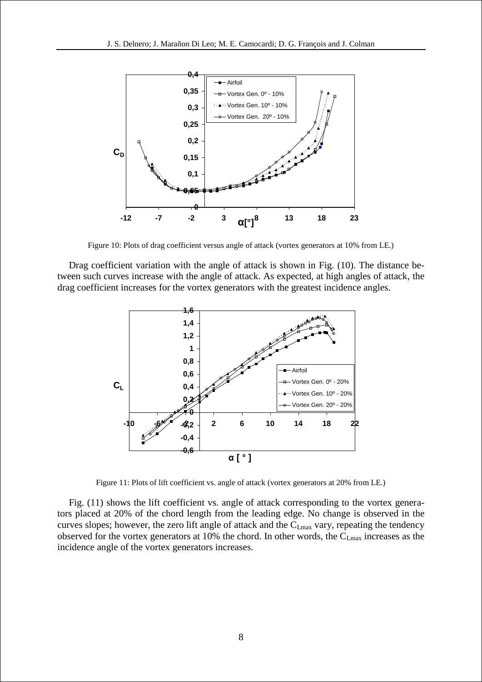

Figure 10: Plots of drag coefficient versus angle of attack (vortex generators at 10% from LE.)

Drag coefficient variation with the angle of attack is shown in Fig. (10). The distance between such curves increase with the angle of attack. As expected, at high angles of attack, the drag coefficient increases for the vortex generators with the greatest incidence angles.



Figure 11: Plots of lift coefficient vs. angle of attack (vortex generators at 20% from LE.)

Fig. (11) shows the lift coefficient vs. angle of attack corresponding to the vortex generators placed at 20% of the chord length from the leading edge. No change is observed in the curves slopes; however, the zero lift angle of attack and the C<sub>Lmax</sub> vary, repeating the tendency observed for the vortex generators at 10% the chord. In other words, the C<sub>Lmax</sub> increases as the incidence angle of the vortex generators increases.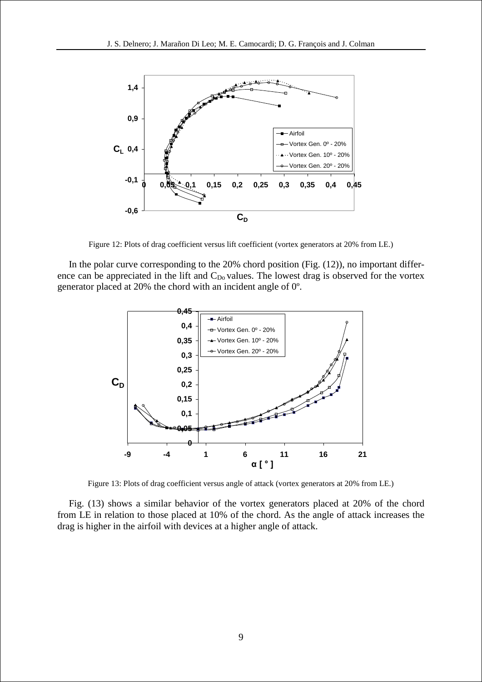

Figure 12: Plots of drag coefficient versus lift coefficient (vortex generators at 20% from LE.)

In the polar curve corresponding to the 20% chord position (Fig. (12)), no important difference can be appreciated in the lift and  $C_{Do}$  values. The lowest drag is observed for the vortex generator placed at 20% the chord with an incident angle of 0º.



Figure 13: Plots of drag coefficient versus angle of attack (vortex generators at 20% from LE.)

Fig. (13) shows a similar behavior of the vortex generators placed at 20% of the chord from LE in relation to those placed at 10% of the chord. As the angle of attack increases the drag is higher in the airfoil with devices at a higher angle of attack.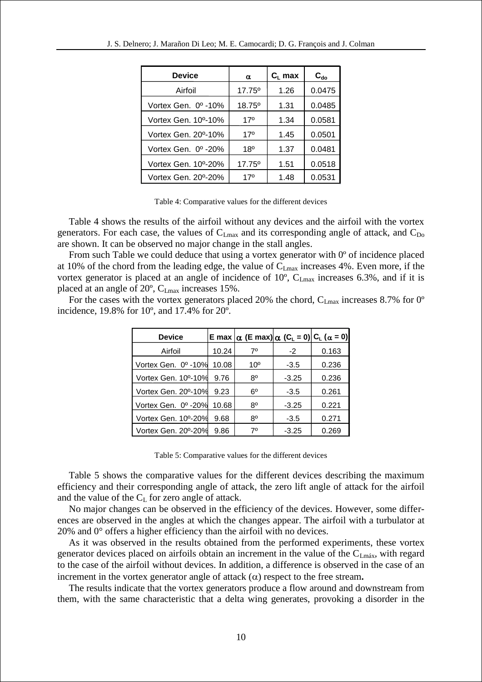| <b>Device</b>                    | $\alpha$           | $C_L$ max | $\mathbf{C}_{\mathbf{do}}$ |
|----------------------------------|--------------------|-----------|----------------------------|
| Airfoil                          | 17.75 <sup>°</sup> | 1.26      | 0.0475                     |
| Vortex Gen. 0º -10%              | 18.75°             | 1.31      | 0.0485                     |
| Vortex Gen. 10 <sup>o</sup> -10% | $17^{\circ}$       | 1.34      | 0.0581                     |
| Vortex Gen. 20 <sup>o</sup> -10% | 17°                | 1.45      | 0.0501                     |
| Vortex Gen. 0º-20%               | 18 <sup>0</sup>    | 1.37      | 0.0481                     |
| Vortex Gen. 10°-20%              | $17.75^{\circ}$    | 1.51      | 0.0518                     |
| Vortex Gen. 20°-20%              | 170                | 1.48      | 0.0531                     |

Table 4: Comparative values for the different devices

Table 4 shows the results of the airfoil without any devices and the airfoil with the vortex generators. For each case, the values of  $C_{Lmax}$  and its corresponding angle of attack, and  $C_{Do}$ are shown. It can be observed no major change in the stall angles.

From such Table we could deduce that using a vortex generator with 0<sup>°</sup> of incidence placed at 10% of the chord from the leading edge, the value of  $C_{Lmax}$  increases 4%. Even more, if the vortex generator is placed at an angle of incidence of  $10^{\circ}$ ,  $C_{Lmax}$  increases 6.3%, and if it is placed at an angle of 20º, CLmax increases 15%.

For the cases with the vortex generators placed 20% the chord,  $C_{Lmax}$  increases 8.7% for 0<sup>o</sup> incidence, 19.8% for 10º, and 17.4% for 20º.

| <b>Device</b>       |       | E max $ \alpha$ (E max) $ \alpha$ (C <sub>L</sub> = 0) C <sub>L</sub> ( $\alpha$ = 0) |         |       |
|---------------------|-------|---------------------------------------------------------------------------------------|---------|-------|
| Airfoil             | 10.24 | $7^\circ$                                                                             | $-2$    | 0.163 |
| Vortex Gen. 0º -10% | 10.08 | 10 <sup>o</sup>                                                                       | $-3.5$  | 0.236 |
| Vortex Gen. 10°-10% | 9.76  | $8^{\circ}$                                                                           | $-3.25$ | 0.236 |
| Vortex Gen. 20°-10% | 9.23  | $6^{\circ}$                                                                           | $-3.5$  | 0.261 |
| Vortex Gen. 0º -20% | 10.68 | 8°                                                                                    | $-3.25$ | 0.221 |
| Vortex Gen. 10°-20% | 9.68  | 8°                                                                                    | $-3.5$  | 0.271 |
| Vortex Gen. 20°-20% | 9.86  | 70                                                                                    | $-3.25$ | 0.269 |

Table 5: Comparative values for the different devices

Table 5 shows the comparative values for the different devices describing the maximum efficiency and their corresponding angle of attack, the zero lift angle of attack for the airfoil and the value of the  $C_{L}$  for zero angle of attack.

No major changes can be observed in the efficiency of the devices. However, some differences are observed in the angles at which the changes appear. The airfoil with a turbulator at 20% and 0° offers a higher efficiency than the airfoil with no devices.

As it was observed in the results obtained from the performed experiments, these vortex generator devices placed on airfoils obtain an increment in the value of the  $C_{Lmás}$ , with regard to the case of the airfoil without devices. In addition, a difference is observed in the case of an increment in the vortex generator angle of attack  $(\alpha)$  respect to the free stream.

The results indicate that the vortex generators produce a flow around and downstream from them, with the same characteristic that a delta wing generates, provoking a disorder in the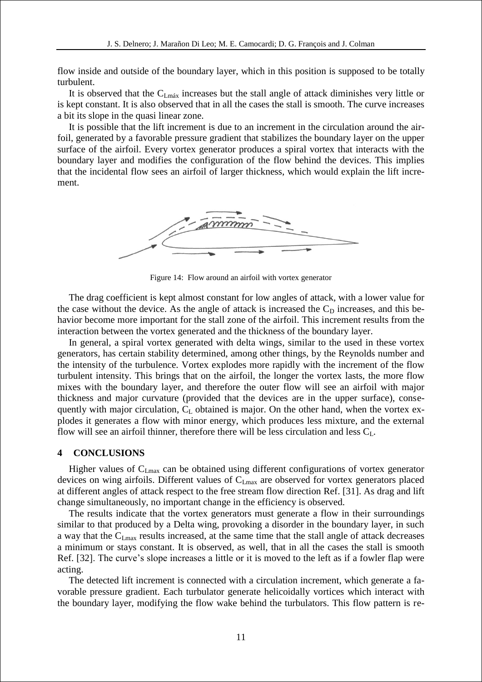flow inside and outside of the boundary layer, which in this position is supposed to be totally turbulent.

It is observed that the  $C_{Lm\acute{a}x}$  increases but the stall angle of attack diminishes very little or is kept constant. It is also observed that in all the cases the stall is smooth. The curve increases a bit its slope in the quasi linear zone.

It is possible that the lift increment is due to an increment in the circulation around the airfoil, generated by a favorable pressure gradient that stabilizes the boundary layer on the upper surface of the airfoil. Every vortex generator produces a spiral vortex that interacts with the boundary layer and modifies the configuration of the flow behind the devices. This implies that the incidental flow sees an airfoil of larger thickness, which would explain the lift increment.



Figure 14: Flow around an airfoil with vortex generator

The drag coefficient is kept almost constant for low angles of attack, with a lower value for the case without the device. As the angle of attack is increased the  $C<sub>D</sub>$  increases, and this behavior become more important for the stall zone of the airfoil. This increment results from the interaction between the vortex generated and the thickness of the boundary layer.

In general, a spiral vortex generated with delta wings, similar to the used in these vortex generators, has certain stability determined, among other things, by the Reynolds number and the intensity of the turbulence. Vortex explodes more rapidly with the increment of the flow turbulent intensity. This brings that on the airfoil, the longer the vortex lasts, the more flow mixes with the boundary layer, and therefore the outer flow will see an airfoil with major thickness and major curvature (provided that the devices are in the upper surface), consequently with major circulation,  $C_{L}$  obtained is major. On the other hand, when the vortex explodes it generates a flow with minor energy, which produces less mixture, and the external flow will see an airfoil thinner, therefore there will be less circulation and less  $C_L$ .

### **4 CONCLUSIONS**

Higher values of  $C_{Lmax}$  can be obtained using different configurations of vortex generator devices on wing airfoils. Different values of C<sub>Lmax</sub> are observed for vortex generators placed at different angles of attack respect to the free stream flow direction Ref. [31]. As drag and lift change simultaneously, no important change in the efficiency is observed.

The results indicate that the vortex generators must generate a flow in their surroundings similar to that produced by a Delta wing, provoking a disorder in the boundary layer, in such a way that the C<sub>Lmax</sub> results increased, at the same time that the stall angle of attack decreases a minimum or stays constant. It is observed, as well, that in all the cases the stall is smooth Ref. [32]. The curve's slope increases a little or it is moved to the left as if a fowler flap were acting.

The detected lift increment is connected with a circulation increment, which generate a favorable pressure gradient. Each turbulator generate helicoidally vortices which interact with the boundary layer, modifying the flow wake behind the turbulators. This flow pattern is re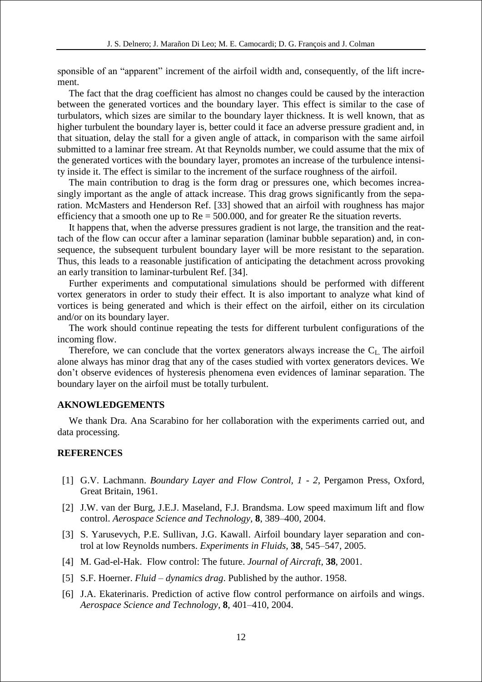sponsible of an "apparent" increment of the airfoil width and, consequently, of the lift increment.

The fact that the drag coefficient has almost no changes could be caused by the interaction between the generated vortices and the boundary layer. This effect is similar to the case of turbulators, which sizes are similar to the boundary layer thickness. It is well known, that as higher turbulent the boundary layer is, better could it face an adverse pressure gradient and, in that situation, delay the stall for a given angle of attack, in comparison with the same airfoil submitted to a laminar free stream. At that Reynolds number, we could assume that the mix of the generated vortices with the boundary layer, promotes an increase of the turbulence intensity inside it. The effect is similar to the increment of the surface roughness of the airfoil.

The main contribution to drag is the form drag or pressures one, which becomes increasingly important as the angle of attack increase. This drag grows significantly from the separation. McMasters and Henderson Ref. [33] showed that an airfoil with roughness has major efficiency that a smooth one up to  $Re = 500.000$ , and for greater Re the situation reverts.

It happens that, when the adverse pressures gradient is not large, the transition and the reattach of the flow can occur after a laminar separation (laminar bubble separation) and, in consequence, the subsequent turbulent boundary layer will be more resistant to the separation. Thus, this leads to a reasonable justification of anticipating the detachment across provoking an early transition to laminar-turbulent Ref. [34].

Further experiments and computational simulations should be performed with different vortex generators in order to study their effect. It is also important to analyze what kind of vortices is being generated and which is their effect on the airfoil, either on its circulation and/or on its boundary layer.

The work should continue repeating the tests for different turbulent configurations of the incoming flow.

Therefore, we can conclude that the vortex generators always increase the  $C<sub>L</sub>$ . The airfoil alone always has minor drag that any of the cases studied with vortex generators devices. We don't observe evidences of hysteresis phenomena even evidences of laminar separation. The boundary layer on the airfoil must be totally turbulent.

### **AKNOWLEDGEMENTS**

We thank Dra. Ana Scarabino for her collaboration with the experiments carried out, and data processing.

### **REFERENCES**

- [1] G.V. Lachmann. *Boundary Layer and Flow Control, 1 - 2*, Pergamon Press, Oxford, Great Britain, 1961.
- [2] J.W. van der Burg, J.E.J. Maseland, F.J. Brandsma. Low speed maximum lift and flow control. *Aerospace Science and Technology,* **8**, 389–400, 2004.
- [3] S. Yarusevych, P.E. Sullivan, J.G. Kawall. Airfoil boundary layer separation and control at low Reynolds numbers. *Experiments in Fluids*, **38**, 545–547, 2005.
- [4] M. Gad-el-Hak. Flow control: The future. *Journal of Aircraft,* **38**, 2001.
- [5] S.F. Hoerner. *Fluid – dynamics drag*. Published by the author. 1958.
- [6] J.A. Ekaterinaris. Prediction of active flow control performance on airfoils and wings. *Aerospace Science and Technology,* **8**, 401–410, 2004.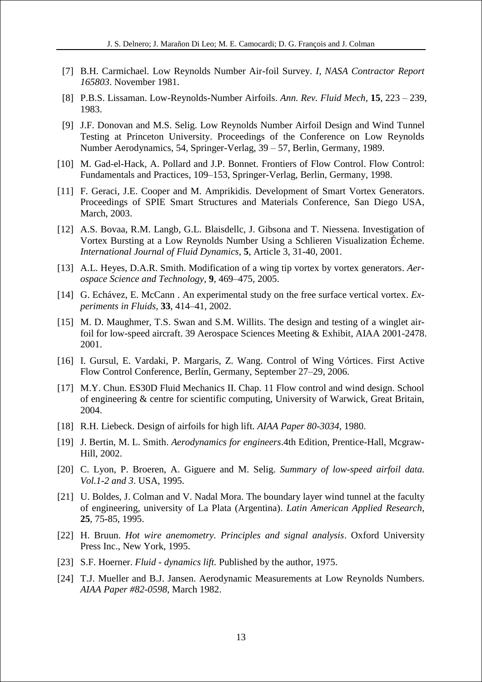- [7] B.H. Carmichael. Low Reynolds Number Air-foil Survey. *I, NASA Contractor Report 165803*. November 1981.
- [8] P.B.S. Lissaman. Low-Reynolds-Number Airfoils. *Ann. Rev. Fluid Mech,* **15**, 223 239, 1983.
- [9] J.F. Donovan and M.S. Selig. Low Reynolds Number Airfoil Design and Wind Tunnel Testing at Princeton University. Proceedings of the Conference on Low Reynolds Number Aerodynamics, 54, Springer-Verlag, 39 – 57, Berlin, Germany, 1989.
- [10] M. Gad-el-Hack, A. Pollard and J.P. Bonnet. Frontiers of Flow Control. Flow Control: Fundamentals and Practices, 109–153, Springer-Verlag, Berlin, Germany, 1998.
- [11] F. Geraci, J.E. Cooper and M. Amprikidis. Development of Smart Vortex Generators. Proceedings of SPIE Smart Structures and Materials Conference, San Diego USA, March, 2003.
- [12] A.S. Bovaa, R.M. Langb, G.L. Blaisdellc, J. Gibsona and T. Niessena. Investigation of Vortex Bursting at a Low Reynolds Number Using a Schlieren Visualization Écheme. *International Journal of Fluid Dynamics,* **5**, Article 3, 31-40, 2001.
- [13] A.L. Heyes, D.A.R. Smith. Modification of a wing tip vortex by vortex generators. *Aerospace Science and Technology*, **9**, 469–475, 2005.
- [14] G. Echávez, E. McCann . An experimental study on the free surface vertical vortex. *Experiments in Fluids,* **33**, 414–41, 2002.
- [15] M. D. Maughmer, T.S. Swan and S.M. Willits. The design and testing of a winglet airfoil for low-speed aircraft. 39 Aerospace Sciences Meeting & Exhibit, AIAA 2001-2478. 2001.
- [16] I. Gursul, E. Vardaki, P. Margaris, Z. Wang. Control of Wing Vórtices. First Active Flow Control Conference, Berlín, Germany, September 27–29, 2006.
- [17] M.Y. Chun. ES30D Fluid Mechanics II. Chap. 11 Flow control and wind design. School of engineering & centre for scientific computing, University of Warwick, Great Britain, 2004.
- [18] R.H. Liebeck. Design of airfoils for high lift. *AIAA Paper 80-3034*, 1980.
- [19] J. Bertin, M. L. Smith. *Aerodynamics for engineers*.4th Edition, Prentice-Hall, Mcgraw-Hill, 2002.
- [20] C. Lyon, P. Broeren, A. Giguere and M. Selig. *Summary of low-speed airfoil data. Vol.1-2 and 3*. USA, 1995.
- [21] U. Boldes, J. Colman and V. Nadal Mora. The boundary layer wind tunnel at the faculty of engineering, university of La Plata (Argentina). *Latin American Applied Research*, **25**, 75-85, 1995.
- [22] H. Bruun. *Hot wire anemometry. Principles and signal analysis*. Oxford University Press Inc., New York, 1995.
- [23] S.F. Hoerner. *Fluid - dynamics lift.* Published by the author, 1975.
- [24] T.J. Mueller and B.J. Jansen. Aerodynamic Measurements at Low Reynolds Numbers. *AIAA Paper #82-0598*, March 1982.